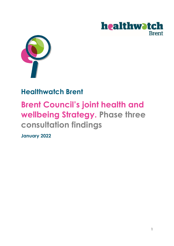



# **Healthwatch Brent**

# **Brent Council's joint health and wellbeing Strategy. Phase three consultation findings**

**January 2022**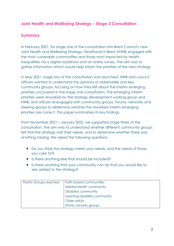## **Joint Health and Wellbeing Strategy – Stage 3 Consultation**

## **Summary**

In February 2021, for stage one of the consultation into Brent Council's new Joint Health and Wellbeing Strategy, Healthwatch Brent (HWB) engaged with the most vulnerable communities and those most impacted by health inequalities via a digital roadshow and an online survey. The aim was to gather information which would help inform the priorities of the new strategy.

In May 2021, stage two of the consultation was launched. HWB and council officers wanted to understand the opinions of stakeholder and key community groups, focusing on how they felt about the interim emerging priorities uncovered in the stage one consultation. The emerging interim priorities were reworked by the strategy development working group and HWB, and officers re-engaged with community groups, forums, networks and steering groups to determine whether the reworked interim emerging priorities are correct. This paper summarises its key findings.

From November 2021 – January 2022, we supported stage three of the consultation. The aim was to understand whether different community groups felt that the strategy met their needs, and to determine whether there was anything missing. We asked the following questions:

- Do you think the strategy meets your needs, and the needs of those you care for?
- Is there anything else that should be included?
- Is there anything that your community can do that you would like to see added to the strategy?

| <b>Priority Groups reached</b> | <b>Faith based communities</b> |
|--------------------------------|--------------------------------|
|                                | Mental Health community        |
|                                | <b>Disabled community</b>      |
|                                | Learning Disability community  |
|                                | Older adults                   |
|                                | Ethnic minority groups         |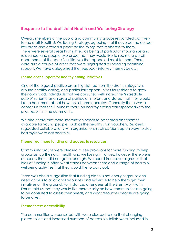### **Response to the draft Joint Health and Wellbeing Strategy**

Overall, members of the public and community groups responded positively to the draft Health & Wellbeing Strategy, agreeing that it covered the correct key areas and offered support for the things that mattered to them. There were several areas highlighted as being of particular importance and relevance, and people expressed that they would like to see more detail about some of the specific initiatives that appealed most to them. There were also a couple of areas that were highlighted as needing additional support. We have categorized the feedback into key themes below.

#### **Theme one: support for healthy eating initiatives**

One of the biggest positive areas highlighted from the draft strategy was around healthy eating, and particularly opportunities for residents to grow their own food. Individuals that we consulted with noted the 'incredible edible' scheme as an area of particular interest, and stated that they would like to hear more about how this scheme operates. Generally there was a consensus that the Council's focus on healthy eating corresponded with the priorities within the community.

We also heard that more information needs to be shared on schemes available for young people, such as the healthy start vouchers. Residents suggested collaborations with organisations such as Mencap on ways to stay healthy/how to eat healthily.

#### **Theme two: more funding and access to resources**

Community groups were pleased to see provisions for more funding to help groups set up their own health and wellbeing initiatives, however there were concerns that it did not go far enough. We heard from several groups that lack of funding is often what stands between them and a range of health & wellbeing activities that they would like to carry out.

There was also a suggestion that funding alone is not enough: groups also need access to additional resources and expertise to help them get their initiatives off the ground. For instance, attendees at the Brent Multi-Faith Forum told us that they would like more clarity on how communities are going to be consulted to assess their needs, and what resources people are going to be given.

#### **Theme three: accessibility**

The communities we consulted with were pleased to see that changing places toilets and increased numbers of accessible toilets were included in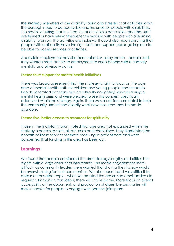the strategy. Members of the disability forum also stressed that activities within the borough need to be accessible and inclusive for people with disabilities. This means ensuring that the location of activities is accessible, and that staff are trained or have relevant experience working with people with a learning disability to ensure the activities are inclusive. It could also mean ensuring that people with a disability have the right care and support package in place to be able to access services or activities.

Accessible employment has also been raised as a key theme – people said they wanted more access to employment to keep people with a disability mentally and physically active.

#### **Theme four: support for mental health initiatives**

There was broad agreement that the strategy is right to focus on the core area of mental health both for children and young people and for adults. People reiterated concerns around difficulty navigating services during a mental health crisis, and were pleased to see this concern specifically addressed within the strategy. Again, there was a call for more detail to help the community understand exactly what new resources may be made available.

#### **Theme five: better access to resources for spirituality**

Those in the multi-faith forum noted that one area not expanded within the strategy is access to spiritual resources and chaplaincy. They highlighted the benefits of these services for those receiving in-patient care and were concerned that funding in this area has been cut.

#### **Learnings**

We found that people considered the draft strategy lengthy and difficult to digest, with a large amount of information. This made engagement more difficult, as community leaders were worried that sharing the strategy would be overwhelming for their communities. We also found that it was difficult to obtain a translated copy – when we emailed the advertised email address to request a Romanian translation, there was no response. More focus on overall accessibility of the document, and production of digestible summaries will make it easier for people to engage with partners joint plans.